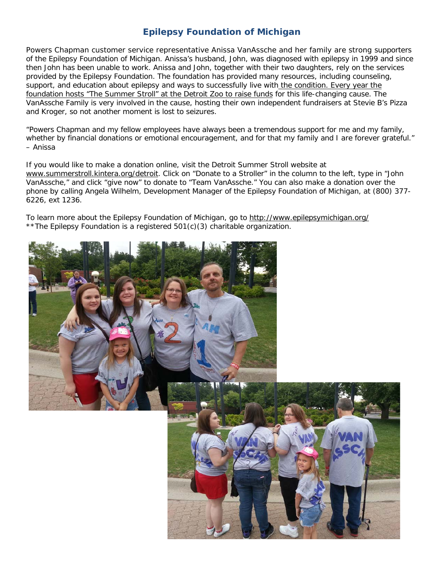## **Epilepsy Foundation of Michigan**

Powers Chapman customer service representative Anissa VanAssche and her family are strong supporters of the Epilepsy Foundation of Michigan. Anissa's husband, John, was diagnosed with epilepsy in 1999 and since then John has been unable to work. Anissa and John, together with their two daughters, rely on the services provided by the Epilepsy Foundation. The foundation has provided many resources, including counseling, support, and education about epilepsy and ways to successfully live with the condition. Every year the foundation hosts "The Summer Stroll" at the Detroit Zoo to raise funds for this life-changing cause. The VanAssche Family is very involved in the cause, hosting their own independent fundraisers at Stevie B's Pizza and Kroger, so not another moment is lost to seizures.

"Powers Chapman and my fellow employees have always been a tremendous support for me and my family, whether by financial donations or emotional encouragement, and for that my family and I are forever grateful." – Anissa

If you would like to make a donation online, visit the Detroit Summer Stroll website at www.summerstroll.kintera.org/detroit. Click on "Donate to a Stroller" in the column to the left, type in "John VanAssche," and click "give now" to donate to "Team VanAssche." You can also make a donation over the phone by calling Angela Wilhelm, Development Manager of the Epilepsy Foundation of Michigan, at (800) 377- 6226, ext 1236.

To learn more about the Epilepsy Foundation of Michigan, go to http://www.epilepsymichigan.org/ \*\*The Epilepsy Foundation is a registered 501(c)(3) charitable organization.